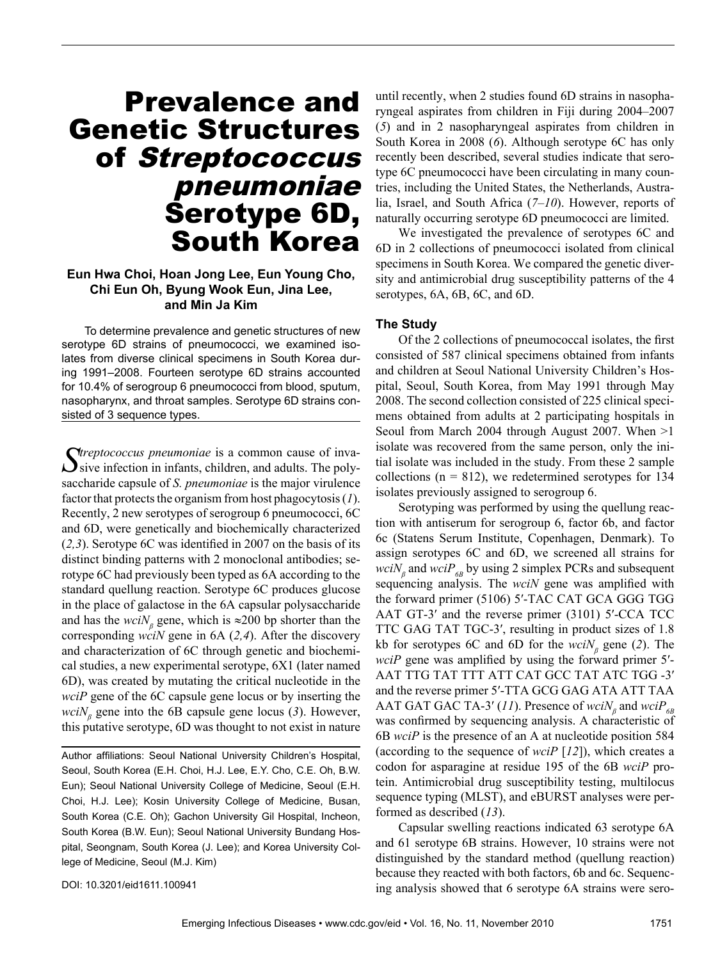# Prevalence and Genetic Structures of Streptococcus pneumoniae Serotype 6D, South Korea

### **Eun Hwa Choi, Hoan Jong Lee, Eun Young Cho, Chi Eun Oh, Byung Wook Eun, Jina Lee, and Min Ja Kim**

To determine prevalence and genetic structures of new serotype 6D strains of pneumococci, we examined isolates from diverse clinical specimens in South Korea during 1991–2008. Fourteen serotype 6D strains accounted for 10.4% of serogroup 6 pneumococci from blood, sputum, nasopharynx, and throat samples. Serotype 6D strains consisted of 3 sequence types.

Streptococcus pneumoniae is a common cause of inva-<br>Sive infection in infants, children, and adults. The polysaccharide capsule of *S. pneumoniae* is the major virulence factor that protects the organism from host phagocytosis (*1*). Recently, 2 new serotypes of serogroup 6 pneumococci, 6C and 6D, were genetically and biochemically characterized (*2,3*). Serotype 6C was identified in 2007 on the basis of its distinct binding patterns with 2 monoclonal antibodies; serotype 6C had previously been typed as 6A according to the standard quellung reaction. Serotype 6C produces glucose in the place of galactose in the 6A capsular polysaccharide and has the  $weight_{\beta}$  gene, which is ≈200 bp shorter than the corresponding *wciN* gene in 6A (*2,4*). After the discovery and characterization of 6C through genetic and biochemical studies, a new experimental serotype, 6X1 (later named 6D), was created by mutating the critical nucleotide in the *wciP* gene of the 6C capsule gene locus or by inserting the *wciN*<sup>β</sup> gene into the 6B capsule gene locus (3). However, this putative serotype, 6D was thought to not exist in nature

Author affiliations: Seoul National University Children's Hospital, Seoul, South Korea (E.H. Choi, H.J. Lee, E.Y. Cho, C.E. Oh, B.W. Eun); Seoul National University College of Medicine, Seoul (E.H. Choi, H.J. Lee); Kosin University College of Medicine, Busan, South Korea (C.E. Oh); Gachon University Gil Hospital, Incheon, South Korea (B.W. Eun); Seoul National University Bundang Hospital, Seongnam, South Korea (J. Lee); and Korea University College of Medicine, Seoul (M.J. Kim)

until recently, when 2 studies found 6D strains in nasopharyngeal aspirates from children in Fiji during 2004–2007 (*5*) and in 2 nasopharyngeal aspirates from children in South Korea in 2008 (*6*). Although serotype 6C has only recently been described, several studies indicate that serotype 6C pneumococci have been circulating in many countries, including the United States, the Netherlands, Australia, Israel, and South Africa (*7–10*). However, reports of naturally occurring serotype 6D pneumococci are limited.

We investigated the prevalence of serotypes 6C and 6D in 2 collections of pneumococci isolated from clinical specimens in South Korea. We compared the genetic diversity and antimicrobial drug susceptibility patterns of the 4 serotypes, 6A, 6B, 6C, and 6D.

#### **The Study**

Of the 2 collections of pneumococcal isolates, the first consisted of 587 clinical specimens obtained from infants and children at Seoul National University Children's Hospital, Seoul, South Korea, from May 1991 through May 2008. The second collection consisted of 225 clinical specimens obtained from adults at 2 participating hospitals in Seoul from March 2004 through August 2007. When >1 isolate was recovered from the same person, only the initial isolate was included in the study. From these 2 sample collections ( $n = 812$ ), we redetermined serotypes for 134 isolates previously assigned to serogroup 6.

Serotyping was performed by using the quellung reaction with antiserum for serogroup 6, factor 6b, and factor 6c (Statens Serum Institute, Copenhagen, Denmark). To assign serotypes 6C and 6D, we screened all strains for  $wciN<sub>\beta</sub>$  and  $wciP<sub>6B</sub>$  by using 2 simplex PCRs and subsequent sequencing analysis. The *wciN* gene was amplified with the forward primer (5106) 5′-TAC CAT GCA GGG TGG AAT GT-3′ and the reverse primer (3101) 5′-CCA TCC TTC GAG TAT TGC-3′, resulting in product sizes of 1.8 kb for serotypes 6C and 6D for the *wciN<sup>β</sup>* gene (*2*). The *wciP* gene was amplified by using the forward primer 5'-AAT TTG TAT TTT ATT CAT GCC TAT ATC TGG -3′ and the reverse primer 5′-TTA GCG GAG ATA ATT TAA AAT GAT GAC TA-3' (11). Presence of  $\text{wci}N_{\beta}$  and  $\text{wci}P_{6B}$ was confirmed by sequencing analysis. A characteristic of 6B *wciP* is the presence of an A at nucleotide position 584 (according to the sequence of *wciP* [*12*]), which creates a codon for asparagine at residue 195 of the 6B *wciP* protein. Antimicrobial drug susceptibility testing, multilocus sequence typing (MLST), and eBURST analyses were performed as described (*13*).

Capsular swelling reactions indicated 63 serotype 6A and 61 serotype 6B strains. However, 10 strains were not distinguished by the standard method (quellung reaction) because they reacted with both factors, 6b and 6c. Sequencing analysis showed that 6 serotype 6A strains were sero-

DOI: 10.3201/eid1611.100941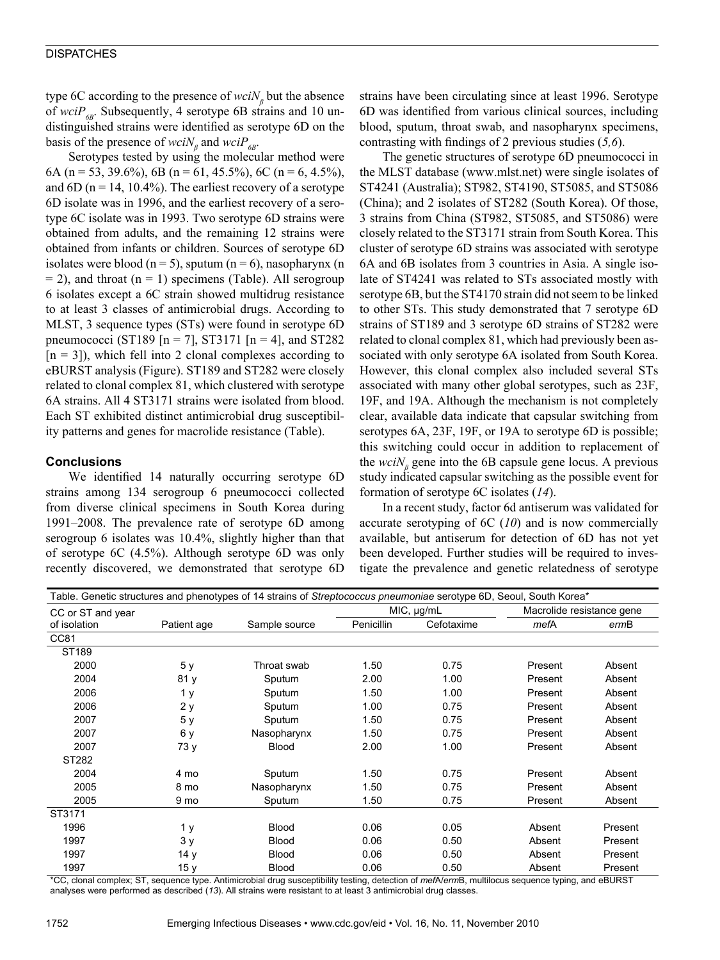type 6C according to the presence of *wciN<sub>β</sub>* but the absence of  $wciP_{6B}$ . Subsequently, 4 serotype 6B strains and 10 undistinguished strains were identified as serotype 6D on the basis of the presence of  $weight_{\beta}$  and  $weight_{\beta}$ .

Serotypes tested by using the molecular method were 6A (n = 53, 39.6%), 6B (n = 61, 45.5%), 6C (n = 6, 4.5%), and  $6D$  (n = 14, 10.4%). The earliest recovery of a serotype 6D isolate was in 1996, and the earliest recovery of a serotype 6C isolate was in 1993. Two serotype 6D strains were obtained from adults, and the remaining 12 strains were obtained from infants or children. Sources of serotype 6D isolates were blood ( $n = 5$ ), sputum ( $n = 6$ ), nasopharynx (n  $= 2$ ), and throat (n  $= 1$ ) specimens (Table). All serogroup 6 isolates except a 6C strain showed multidrug resistance to at least 3 classes of antimicrobial drugs. According to MLST, 3 sequence types (STs) were found in serotype 6D pneumococci (ST189 [n = 7], ST3171 [n = 4], and ST282  $[n = 3]$ , which fell into 2 clonal complexes according to eBURST analysis (Figure). ST189 and ST282 were closely related to clonal complex 81, which clustered with serotype 6A strains. All 4 ST3171 strains were isolated from blood. Each ST exhibited distinct antimicrobial drug susceptibility patterns and genes for macrolide resistance (Table).

## **Conclusions**

We identified 14 naturally occurring serotype 6D strains among 134 serogroup 6 pneumococci collected from diverse clinical specimens in South Korea during 1991–2008. The prevalence rate of serotype 6D among serogroup 6 isolates was 10.4%, slightly higher than that of serotype 6C (4.5%). Although serotype 6D was only recently discovered, we demonstrated that serotype 6D

strains have been circulating since at least 1996. Serotype 6D was identified from various clinical sources, including blood, sputum, throat swab, and nasopharynx specimens, contrasting with findings of 2 previous studies (*5,6*).

The genetic structures of serotype 6D pneumococci in the MLST database (www.mlst.net) were single isolates of ST4241 (Australia); ST982, ST4190, ST5085, and ST5086 (China); and 2 isolates of ST282 (South Korea). Of those, 3 strains from China (ST982, ST5085, and ST5086) were closely related to the ST3171 strain from South Korea. This cluster of serotype 6D strains was associated with serotype 6A and 6B isolates from 3 countries in Asia. A single isolate of ST4241 was related to STs associated mostly with serotype 6B, but the ST4170 strain did not seem to be linked to other STs. This study demonstrated that 7 serotype 6D strains of ST189 and 3 serotype 6D strains of ST282 were related to clonal complex 81, which had previously been associated with only serotype 6A isolated from South Korea. However, this clonal complex also included several STs associated with many other global serotypes, such as 23F, 19F, and 19A. Although the mechanism is not completely clear, available data indicate that capsular switching from serotypes 6A, 23F, 19F, or 19A to serotype 6D is possible; this switching could occur in addition to replacement of the  $wciN<sub>\beta</sub>$  gene into the 6B capsule gene locus. A previous study indicated capsular switching as the possible event for formation of serotype 6C isolates (*14*).

In a recent study, factor 6d antiserum was validated for accurate serotyping of 6C (*10*) and is now commercially available, but antiserum for detection of 6D has not yet been developed. Further studies will be required to investigate the prevalence and genetic relatedness of serotype

| Table. Genetic structures and phenotypes of 14 strains of Streptococcus pneumoniae serotype 6D, Seoul, South Korea* |             |               |            |            |                           |         |
|---------------------------------------------------------------------------------------------------------------------|-------------|---------------|------------|------------|---------------------------|---------|
| CC or ST and year                                                                                                   |             |               | MIC, µg/mL |            | Macrolide resistance gene |         |
| of isolation                                                                                                        | Patient age | Sample source | Penicillin | Cefotaxime | mefA                      | ermB    |
| CC81                                                                                                                |             |               |            |            |                           |         |
| ST189                                                                                                               |             |               |            |            |                           |         |
| 2000                                                                                                                | 5 y         | Throat swab   | 1.50       | 0.75       | Present                   | Absent  |
| 2004                                                                                                                | 81 y        | Sputum        | 2.00       | 1.00       | Present                   | Absent  |
| 2006                                                                                                                | 1 y         | Sputum        | 1.50       | 1.00       | Present                   | Absent  |
| 2006                                                                                                                | 2 y         | Sputum        | 1.00       | 0.75       | Present                   | Absent  |
| 2007                                                                                                                | 5у          | Sputum        | 1.50       | 0.75       | Present                   | Absent  |
| 2007                                                                                                                | 6 y         | Nasopharynx   | 1.50       | 0.75       | Present                   | Absent  |
| 2007                                                                                                                | 73 y        | <b>Blood</b>  | 2.00       | 1.00       | Present                   | Absent  |
| ST282                                                                                                               |             |               |            |            |                           |         |
| 2004                                                                                                                | 4 mo        | Sputum        | 1.50       | 0.75       | Present                   | Absent  |
| 2005                                                                                                                | 8 mo        | Nasopharynx   | 1.50       | 0.75       | Present                   | Absent  |
| 2005                                                                                                                | 9 mo        | Sputum        | 1.50       | 0.75       | Present                   | Absent  |
| ST3171                                                                                                              |             |               |            |            |                           |         |
| 1996                                                                                                                | 1 y         | <b>Blood</b>  | 0.06       | 0.05       | Absent                    | Present |
| 1997                                                                                                                | 3y          | <b>Blood</b>  | 0.06       | 0.50       | Absent                    | Present |
| 1997                                                                                                                | 14 y        | <b>Blood</b>  | 0.06       | 0.50       | Absent                    | Present |
| 1997                                                                                                                | 15 y        | <b>Blood</b>  | 0.06       | 0.50       | Absent                    | Present |

\*CC, clonal complex; ST, sequence type. Antimicrobial drug susceptibility testing, detection of *mef*A/*erm*B, multilocus sequence typing, and eBURST analyses were performed as described (*13*). All strains were resistant to at least 3 antimicrobial drug classes.